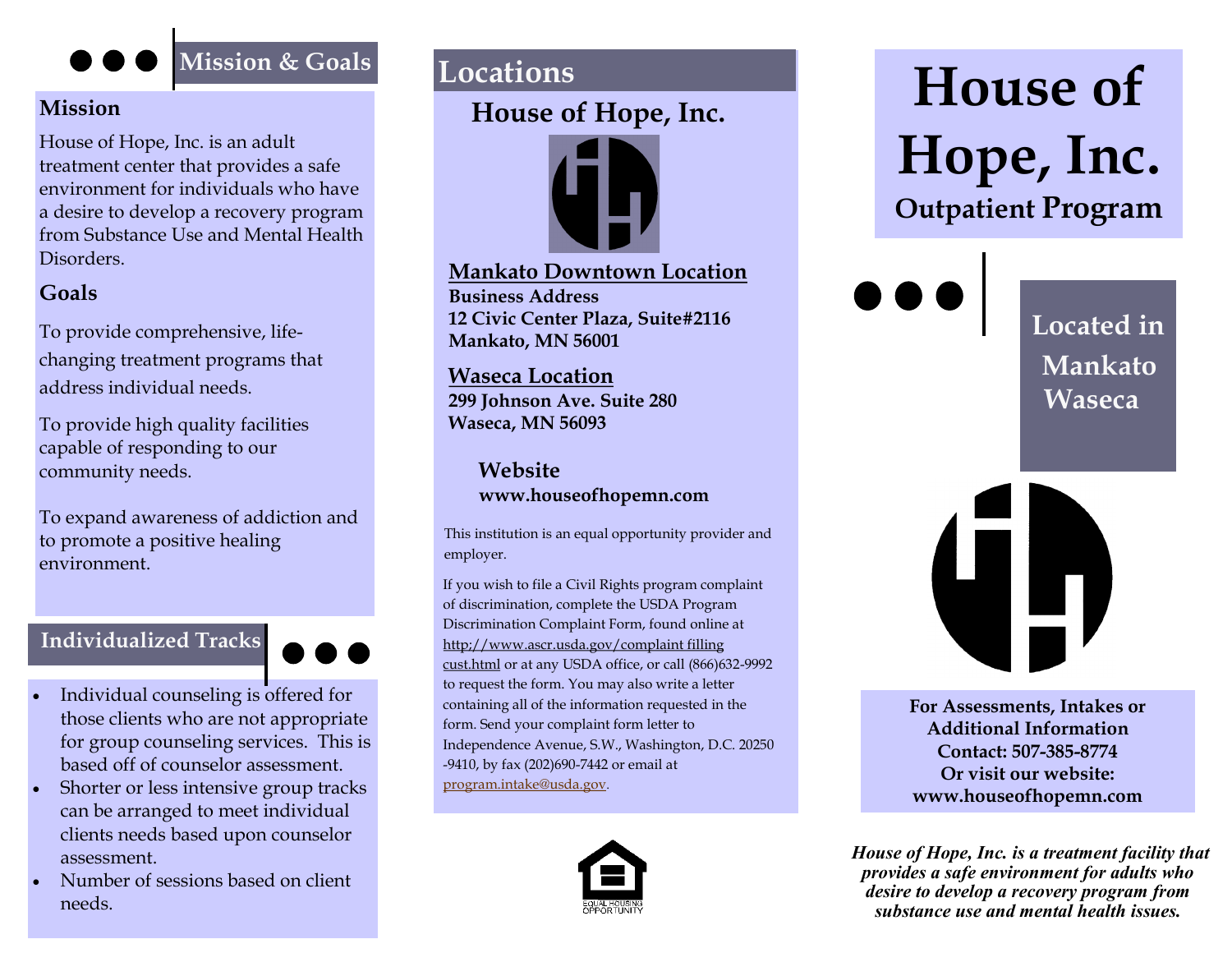# **Mission**

House of Hope, Inc. is an adult treatment center that provides a safe environment for individuals who have a desire to develop a recovery program from Substance Use and Mental Health Disorders.

# **Goals**

To provide comprehensive, lifechanging treatment programs that address individual needs.

To provide high quality facilities capable of responding to our community needs.

To expand awareness of addiction and to promote a positive healing environment.

## **Individualized Tracks**



- Individual counseling is offered for those clients who are not appropriate for group counseling services. This is based off of counselor assessment.
- Shorter or less intensive group tracks can be arranged to meet individual clients needs based upon counselor assessment.
- Number of sessions based on client needs.

# **Locations**

# **House of Hope, Inc.**



**Mankato Downtown Location Business Address 12 Civic Center Plaza, Suite#2116 Mankato, MN 56001**

**Waseca Location 299 Johnson Ave. Suite 280 Waseca, MN 56093** 

> **Website www.houseofhopemn.com**

This institution is an equal opportunity provider and employer.

If you wish to file a Civil Rights program complaint of discrimination, complete the USDA Program Discrimination Complaint Form, found online at http;//www.ascr.usda.gov/complaint filling cust.html or at any USDA office, or call (866)632-9992 to request the form. You may also write a letter containing all of the information requested in the form. Send your complaint form letter to Independence Avenue, S.W., Washington, D.C. 20250 -9410, by fax (202)690-7442 or email at [program.intake@usda.gov](mailto:program.intake@usda.gov).



# Mission & Goals<br> **House of Hope, Inc. Outpatient Program**

**Located in Mankato Waseca** 



**For Assessments, Intakes or Additional Information Contact: 507-385-8774 Or visit our website: www.houseofhopemn.com** 

*House of Hope, Inc. is a treatment facility that provides a safe environment for adults who desire to develop a recovery program from substance use and mental health issues.*